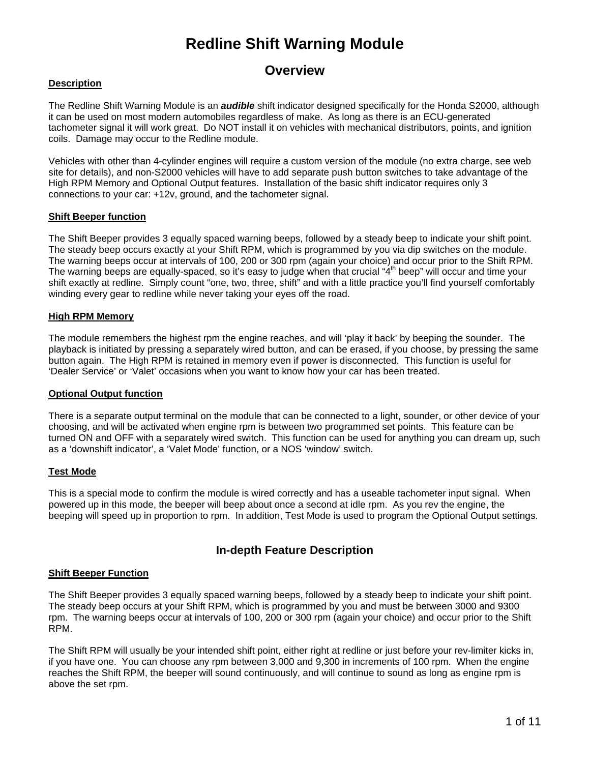### **Overview**

#### **Description**

The Redline Shift Warning Module is an **audible** shift indicator designed specifically for the Honda S2000, although it can be used on most modern automobiles regardless of make. As long as there is an ECU-generated tachometer signal it will work great. Do NOT install it on vehicles with mechanical distributors, points, and ignition coils. Damage may occur to the Redline module.

Vehicles with other than 4-cylinder engines will require a custom version of the module (no extra charge, see web site for details), and non-S2000 vehicles will have to add separate push button switches to take advantage of the High RPM Memory and Optional Output features. Installation of the basic shift indicator requires only 3 connections to your car: +12v, ground, and the tachometer signal.

#### **Shift Beeper function**

The Shift Beeper provides 3 equally spaced warning beeps, followed by a steady beep to indicate your shift point. The steady beep occurs exactly at your Shift RPM, which is programmed by you via dip switches on the module. The warning beeps occur at intervals of 100, 200 or 300 rpm (again your choice) and occur prior to the Shift RPM. The warning beeps are equally-spaced, so it's easy to judge when that crucial "4<sup>th</sup> beep" will occur and time your shift exactly at redline. Simply count "one, two, three, shift" and with a little practice you'll find yourself comfortably winding every gear to redline while never taking your eyes off the road.

#### **High RPM Memory**

The module remembers the highest rpm the engine reaches, and will 'play it back' by beeping the sounder. The playback is initiated by pressing a separately wired button, and can be erased, if you choose, by pressing the same button again. The High RPM is retained in memory even if power is disconnected. This function is useful for 'Dealer Service' or 'Valet' occasions when you want to know how your car has been treated.

#### **Optional Output function**

There is a separate output terminal on the module that can be connected to a light, sounder, or other device of your choosing, and will be activated when engine rpm is between two programmed set points. This feature can be turned ON and OFF with a separately wired switch. This function can be used for anything you can dream up, such as a 'downshift indicator', a 'Valet Mode' function, or a NOS 'window' switch.

#### **Test Mode**

This is a special mode to confirm the module is wired correctly and has a useable tachometer input signal. When powered up in this mode, the beeper will beep about once a second at idle rpm. As you rev the engine, the beeping will speed up in proportion to rpm. In addition, Test Mode is used to program the Optional Output settings.

### **In-depth Feature Description**

#### **Shift Beeper Function**

The Shift Beeper provides 3 equally spaced warning beeps, followed by a steady beep to indicate your shift point. The steady beep occurs at your Shift RPM, which is programmed by you and must be between 3000 and 9300 rpm. The warning beeps occur at intervals of 100, 200 or 300 rpm (again your choice) and occur prior to the Shift RPM.

The Shift RPM will usually be your intended shift point, either right at redline or just before your rev-limiter kicks in, if you have one. You can choose any rpm between 3,000 and 9,300 in increments of 100 rpm. When the engine reaches the Shift RPM, the beeper will sound continuously, and will continue to sound as long as engine rpm is above the set rpm.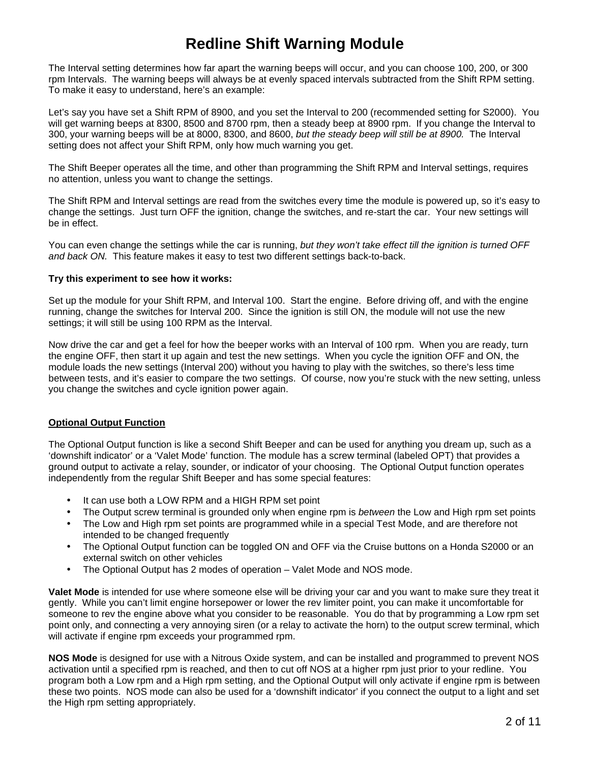The Interval setting determines how far apart the warning beeps will occur, and you can choose 100, 200, or 300 rpm Intervals. The warning beeps will always be at evenly spaced intervals subtracted from the Shift RPM setting. To make it easy to understand, here's an example:

Let's say you have set a Shift RPM of 8900, and you set the Interval to 200 (recommended setting for S2000). You will get warning beeps at 8300, 8500 and 8700 rpm, then a steady beep at 8900 rpm. If you change the Interval to 300, your warning beeps will be at 8000, 8300, and 8600, but the steady beep will still be at 8900. The Interval setting does not affect your Shift RPM, only how much warning you get.

The Shift Beeper operates all the time, and other than programming the Shift RPM and Interval settings, requires no attention, unless you want to change the settings.

The Shift RPM and Interval settings are read from the switches every time the module is powered up, so it's easy to change the settings. Just turn OFF the ignition, change the switches, and re-start the car. Your new settings will be in effect.

You can even change the settings while the car is running, but they won't take effect till the ignition is turned OFF and back ON. This feature makes it easy to test two different settings back-to-back.

#### **Try this experiment to see how it works:**

Set up the module for your Shift RPM, and Interval 100. Start the engine. Before driving off, and with the engine running, change the switches for Interval 200. Since the ignition is still ON, the module will not use the new settings; it will still be using 100 RPM as the Interval.

Now drive the car and get a feel for how the beeper works with an Interval of 100 rpm. When you are ready, turn the engine OFF, then start it up again and test the new settings. When you cycle the ignition OFF and ON, the module loads the new settings (Interval 200) without you having to play with the switches, so there's less time between tests, and it's easier to compare the two settings. Of course, now you're stuck with the new setting, unless you change the switches and cycle ignition power again.

#### **Optional Output Function**

The Optional Output function is like a second Shift Beeper and can be used for anything you dream up, such as a 'downshift indicator' or a 'Valet Mode' function. The module has a screw terminal (labeled OPT) that provides a ground output to activate a relay, sounder, or indicator of your choosing. The Optional Output function operates independently from the regular Shift Beeper and has some special features:

- It can use both a LOW RPM and a HIGH RPM set point
- The Output screw terminal is grounded only when engine rpm is between the Low and High rpm set points
- The Low and High rpm set points are programmed while in a special Test Mode, and are therefore not intended to be changed frequently
- The Optional Output function can be toggled ON and OFF via the Cruise buttons on a Honda S2000 or an external switch on other vehicles
- The Optional Output has 2 modes of operation Valet Mode and NOS mode.

**Valet Mode** is intended for use where someone else will be driving your car and you want to make sure they treat it gently. While you can't limit engine horsepower or lower the rev limiter point, you can make it uncomfortable for someone to rev the engine above what you consider to be reasonable. You do that by programming a Low rpm set point only, and connecting a very annoying siren (or a relay to activate the horn) to the output screw terminal, which will activate if engine rpm exceeds your programmed rpm.

**NOS Mode** is designed for use with a Nitrous Oxide system, and can be installed and programmed to prevent NOS activation until a specified rpm is reached, and then to cut off NOS at a higher rpm just prior to your redline. You program both a Low rpm and a High rpm setting, and the Optional Output will only activate if engine rpm is between these two points. NOS mode can also be used for a 'downshift indicator' if you connect the output to a light and set the High rpm setting appropriately.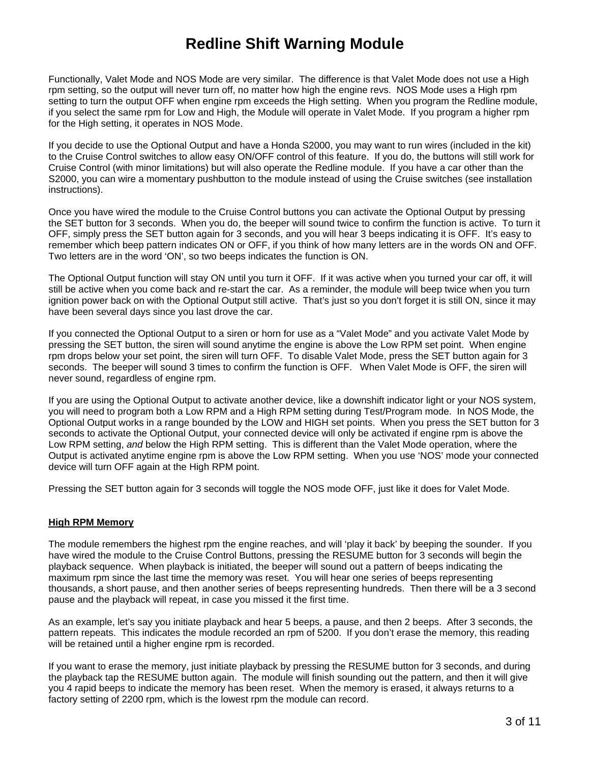Functionally, Valet Mode and NOS Mode are very similar. The difference is that Valet Mode does not use a High rpm setting, so the output will never turn off, no matter how high the engine revs. NOS Mode uses a High rpm setting to turn the output OFF when engine rpm exceeds the High setting. When you program the Redline module, if you select the same rpm for Low and High, the Module will operate in Valet Mode. If you program a higher rpm for the High setting, it operates in NOS Mode.

If you decide to use the Optional Output and have a Honda S2000, you may want to run wires (included in the kit) to the Cruise Control switches to allow easy ON/OFF control of this feature. If you do, the buttons will still work for Cruise Control (with minor limitations) but will also operate the Redline module. If you have a car other than the S2000, you can wire a momentary pushbutton to the module instead of using the Cruise switches (see installation instructions).

Once you have wired the module to the Cruise Control buttons you can activate the Optional Output by pressing the SET button for 3 seconds. When you do, the beeper will sound twice to confirm the function is active. To turn it OFF, simply press the SET button again for 3 seconds, and you will hear 3 beeps indicating it is OFF. It's easy to remember which beep pattern indicates ON or OFF, if you think of how many letters are in the words ON and OFF. Two letters are in the word 'ON', so two beeps indicates the function is ON.

The Optional Output function will stay ON until you turn it OFF. If it was active when you turned your car off, it will still be active when you come back and re-start the car. As a reminder, the module will beep twice when you turn ignition power back on with the Optional Output still active. That's just so you don't forget it is still ON, since it may have been several days since you last drove the car.

If you connected the Optional Output to a siren or horn for use as a "Valet Mode" and you activate Valet Mode by pressing the SET button, the siren will sound anytime the engine is above the Low RPM set point. When engine rpm drops below your set point, the siren will turn OFF. To disable Valet Mode, press the SET button again for 3 seconds. The beeper will sound 3 times to confirm the function is OFF. When Valet Mode is OFF, the siren will never sound, regardless of engine rpm.

If you are using the Optional Output to activate another device, like a downshift indicator light or your NOS system, you will need to program both a Low RPM and a High RPM setting during Test/Program mode. In NOS Mode, the Optional Output works in a range bounded by the LOW and HIGH set points. When you press the SET button for 3 seconds to activate the Optional Output, your connected device will only be activated if engine rpm is above the Low RPM setting, and below the High RPM setting. This is different than the Valet Mode operation, where the Output is activated anytime engine rpm is above the Low RPM setting. When you use 'NOS' mode your connected device will turn OFF again at the High RPM point.

Pressing the SET button again for 3 seconds will toggle the NOS mode OFF, just like it does for Valet Mode.

#### **High RPM Memory**

The module remembers the highest rpm the engine reaches, and will 'play it back' by beeping the sounder. If you have wired the module to the Cruise Control Buttons, pressing the RESUME button for 3 seconds will begin the playback sequence. When playback is initiated, the beeper will sound out a pattern of beeps indicating the maximum rpm since the last time the memory was reset. You will hear one series of beeps representing thousands, a short pause, and then another series of beeps representing hundreds. Then there will be a 3 second pause and the playback will repeat, in case you missed it the first time.

As an example, let's say you initiate playback and hear 5 beeps, a pause, and then 2 beeps. After 3 seconds, the pattern repeats. This indicates the module recorded an rpm of 5200. If you don't erase the memory, this reading will be retained until a higher engine rpm is recorded.

If you want to erase the memory, just initiate playback by pressing the RESUME button for 3 seconds, and during the playback tap the RESUME button again. The module will finish sounding out the pattern, and then it will give you 4 rapid beeps to indicate the memory has been reset. When the memory is erased, it always returns to a factory setting of 2200 rpm, which is the lowest rpm the module can record.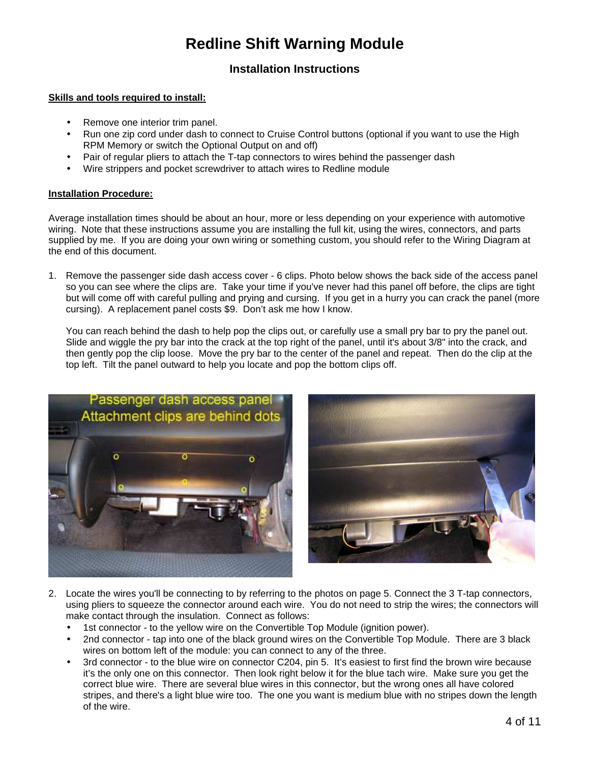### **Installation Instructions**

#### **Skills and tools required to install:**

- Remove one interior trim panel.
- Run one zip cord under dash to connect to Cruise Control buttons (optional if you want to use the High RPM Memory or switch the Optional Output on and off)
- Pair of regular pliers to attach the T-tap connectors to wires behind the passenger dash
- Wire strippers and pocket screwdriver to attach wires to Redline module

#### **Installation Procedure:**

Average installation times should be about an hour, more or less depending on your experience with automotive wiring. Note that these instructions assume you are installing the full kit, using the wires, connectors, and parts supplied by me. If you are doing your own wiring or something custom, you should refer to the Wiring Diagram at the end of this document.

1. Remove the passenger side dash access cover - 6 clips. Photo below shows the back side of the access panel so you can see where the clips are. Take your time if you've never had this panel off before, the clips are tight but will come off with careful pulling and prying and cursing. If you get in a hurry you can crack the panel (more cursing). A replacement panel costs \$9. Don't ask me how I know.

You can reach behind the dash to help pop the clips out, or carefully use a small pry bar to pry the panel out. Slide and wiggle the pry bar into the crack at the top right of the panel, until it's about 3/8" into the crack, and then gently pop the clip loose. Move the pry bar to the center of the panel and repeat. Then do the clip at the top left. Tilt the panel outward to help you locate and pop the bottom clips off.



- 2. Locate the wires you'll be connecting to by referring to the photos on page 5. Connect the 3 T-tap connectors, using pliers to squeeze the connector around each wire. You do not need to strip the wires; the connectors will make contact through the insulation. Connect as follows:
	- 1st connector to the yellow wire on the Convertible Top Module (ignition power).
	- 2nd connector tap into one of the black ground wires on the Convertible Top Module. There are 3 black wires on bottom left of the module: you can connect to any of the three.
	- 3rd connector to the blue wire on connector C204, pin 5. It's easiest to first find the brown wire because it's the only one on this connector. Then look right below it for the blue tach wire. Make sure you get the correct blue wire. There are several blue wires in this connector, but the wrong ones all have colored stripes, and there's a light blue wire too. The one you want is medium blue with no stripes down the length of the wire.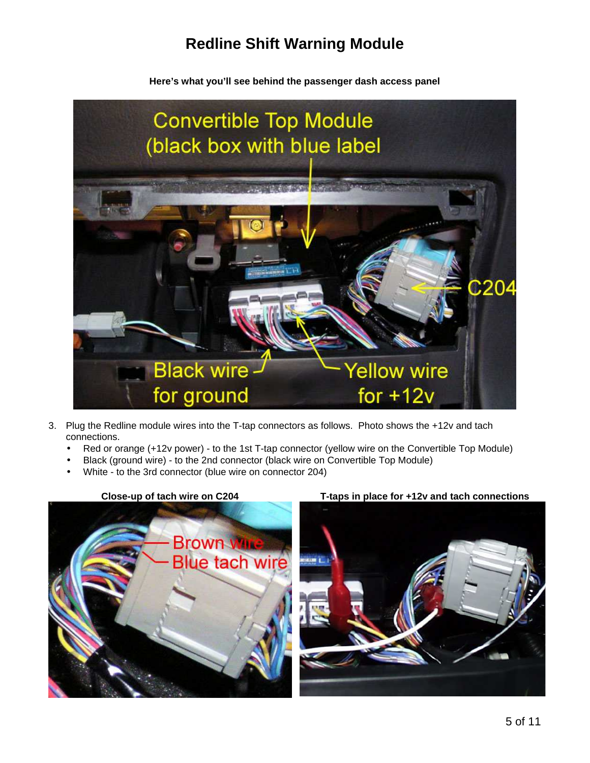**Here's what you'll see behind the passenger dash access panel** 



- 3. Plug the Redline module wires into the T-tap connectors as follows. Photo shows the +12v and tach connections.
	- Red or orange (+12v power) to the 1st T-tap connector (yellow wire on the Convertible Top Module)
	- Black (ground wire) to the 2nd connector (black wire on Convertible Top Module)
	- White to the 3rd connector (blue wire on connector 204)



#### **Close-up of tach wire on C204 T-taps in place for +12v and tach connections**

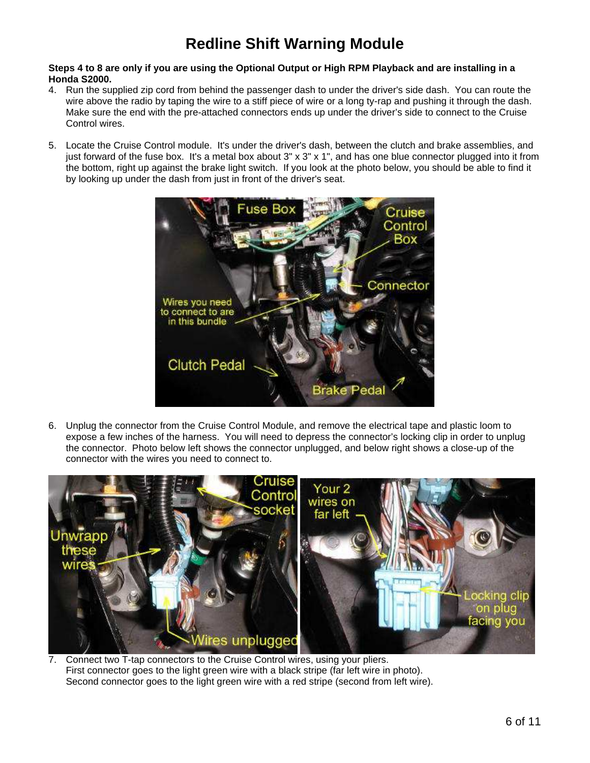#### **Steps 4 to 8 are only if you are using the Optional Output or High RPM Playback and are installing in a Honda S2000.**

- 4. Run the supplied zip cord from behind the passenger dash to under the driver's side dash. You can route the wire above the radio by taping the wire to a stiff piece of wire or a long ty-rap and pushing it through the dash. Make sure the end with the pre-attached connectors ends up under the driver's side to connect to the Cruise Control wires.
- 5. Locate the Cruise Control module. It's under the driver's dash, between the clutch and brake assemblies, and just forward of the fuse box. It's a metal box about 3" x 3" x 1", and has one blue connector plugged into it from the bottom, right up against the brake light switch. If you look at the photo below, you should be able to find it by looking up under the dash from just in front of the driver's seat.



6. Unplug the connector from the Cruise Control Module, and remove the electrical tape and plastic loom to expose a few inches of the harness. You will need to depress the connector's locking clip in order to unplug the connector. Photo below left shows the connector unplugged, and below right shows a close-up of the connector with the wires you need to connect to.



7. Connect two T-tap connectors to the Cruise Control wires, using your pliers. First connector goes to the light green wire with a black stripe (far left wire in photo). Second connector goes to the light green wire with a red stripe (second from left wire).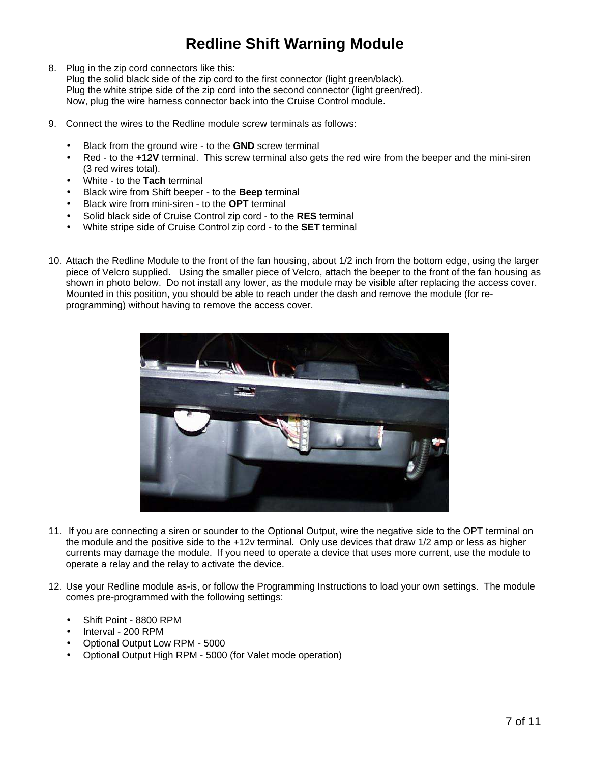8. Plug in the zip cord connectors like this:

Plug the solid black side of the zip cord to the first connector (light green/black). Plug the white stripe side of the zip cord into the second connector (light green/red). Now, plug the wire harness connector back into the Cruise Control module.

- 9. Connect the wires to the Redline module screw terminals as follows:
	- Black from the ground wire to the **GND** screw terminal
	- Red to the **+12V** terminal. This screw terminal also gets the red wire from the beeper and the mini-siren (3 red wires total).
	- White to the **Tach** terminal
	- Black wire from Shift beeper to the **Beep** terminal
	- Black wire from mini-siren to the **OPT** terminal
	- Solid black side of Cruise Control zip cord to the **RES** terminal
	- White stripe side of Cruise Control zip cord to the **SET** terminal
- 10. Attach the Redline Module to the front of the fan housing, about 1/2 inch from the bottom edge, using the larger piece of Velcro supplied. Using the smaller piece of Velcro, attach the beeper to the front of the fan housing as shown in photo below. Do not install any lower, as the module may be visible after replacing the access cover. Mounted in this position, you should be able to reach under the dash and remove the module (for reprogramming) without having to remove the access cover.



- 11. If you are connecting a siren or sounder to the Optional Output, wire the negative side to the OPT terminal on the module and the positive side to the +12v terminal. Only use devices that draw 1/2 amp or less as higher currents may damage the module. If you need to operate a device that uses more current, use the module to operate a relay and the relay to activate the device.
- 12. Use your Redline module as-is, or follow the Programming Instructions to load your own settings. The module comes pre-programmed with the following settings:
	- Shift Point 8800 RPM
	- Interval 200 RPM
	- Optional Output Low RPM 5000
	- Optional Output High RPM 5000 (for Valet mode operation)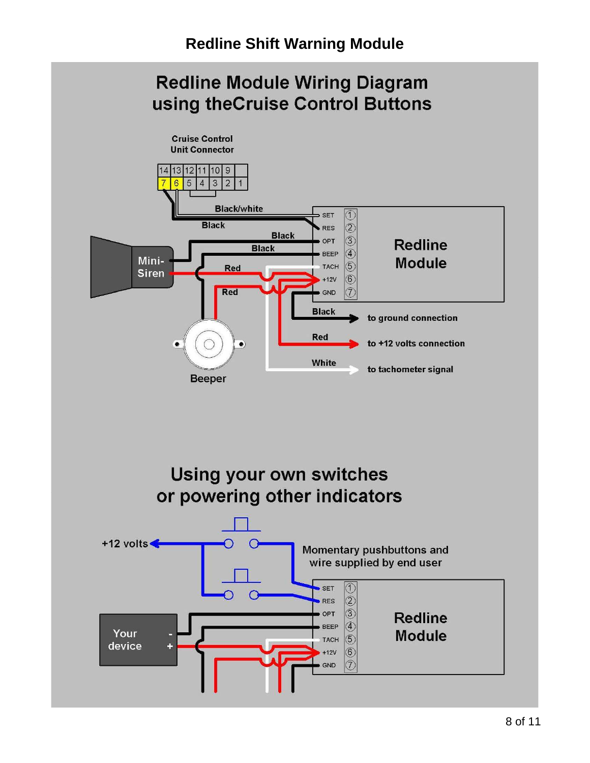# **Redline Module Wiring Diagram** using theCruise Control Buttons

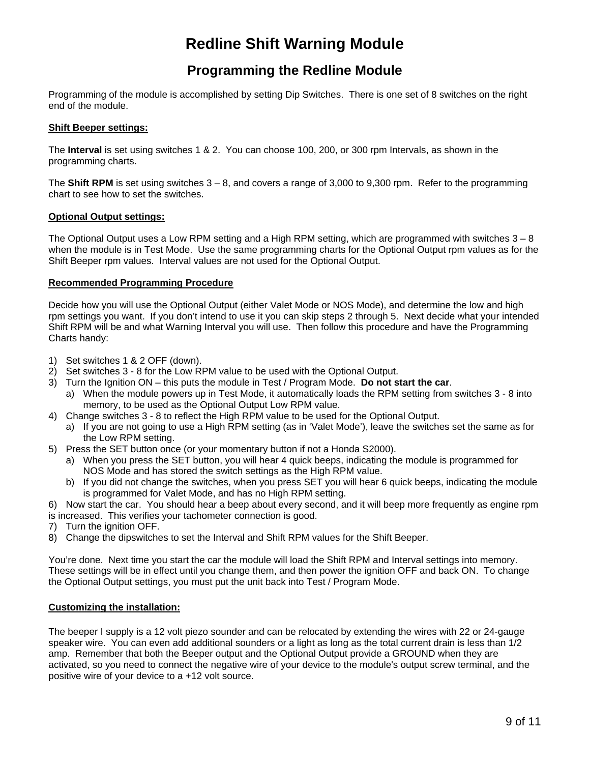### **Programming the Redline Module**

Programming of the module is accomplished by setting Dip Switches. There is one set of 8 switches on the right end of the module.

#### **Shift Beeper settings:**

The **Interval** is set using switches 1 & 2. You can choose 100, 200, or 300 rpm Intervals, as shown in the programming charts.

The **Shift RPM** is set using switches 3 – 8, and covers a range of 3,000 to 9,300 rpm. Refer to the programming chart to see how to set the switches.

#### **Optional Output settings:**

The Optional Output uses a Low RPM setting and a High RPM setting, which are programmed with switches  $3 - 8$ when the module is in Test Mode. Use the same programming charts for the Optional Output rpm values as for the Shift Beeper rpm values. Interval values are not used for the Optional Output.

#### **Recommended Programming Procedure**

Decide how you will use the Optional Output (either Valet Mode or NOS Mode), and determine the low and high rpm settings you want. If you don't intend to use it you can skip steps 2 through 5. Next decide what your intended Shift RPM will be and what Warning Interval you will use. Then follow this procedure and have the Programming Charts handy:

- 1) Set switches 1 & 2 OFF (down).
- 2) Set switches 3 8 for the Low RPM value to be used with the Optional Output.
- 3) Turn the Ignition ON this puts the module in Test / Program Mode. **Do not start the car**.
	- a) When the module powers up in Test Mode, it automatically loads the RPM setting from switches 3 8 into memory, to be used as the Optional Output Low RPM value.
- 4) Change switches 3 8 to reflect the High RPM value to be used for the Optional Output.
	- a) If you are not going to use a High RPM setting (as in 'Valet Mode'), leave the switches set the same as for the Low RPM setting.
- 5) Press the SET button once (or your momentary button if not a Honda S2000).
	- a) When you press the SET button, you will hear 4 quick beeps, indicating the module is programmed for NOS Mode and has stored the switch settings as the High RPM value.
	- b) If you did not change the switches, when you press SET you will hear 6 quick beeps, indicating the module is programmed for Valet Mode, and has no High RPM setting.
- 6) Now start the car. You should hear a beep about every second, and it will beep more frequently as engine rpm is increased. This verifies your tachometer connection is good.
- 7) Turn the ignition OFF.
- 8) Change the dipswitches to set the Interval and Shift RPM values for the Shift Beeper.

You're done. Next time you start the car the module will load the Shift RPM and Interval settings into memory. These settings will be in effect until you change them, and then power the ignition OFF and back ON. To change the Optional Output settings, you must put the unit back into Test / Program Mode.

#### **Customizing the installation:**

The beeper I supply is a 12 volt piezo sounder and can be relocated by extending the wires with 22 or 24-gauge speaker wire. You can even add additional sounders or a light as long as the total current drain is less than 1/2 amp. Remember that both the Beeper output and the Optional Output provide a GROUND when they are activated, so you need to connect the negative wire of your device to the module's output screw terminal, and the positive wire of your device to a +12 volt source.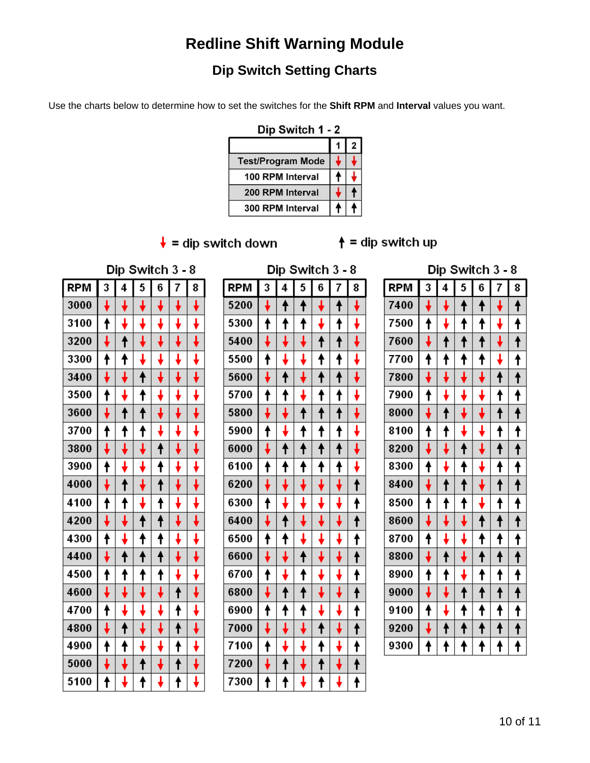### **Dip Switch Setting Charts**

Use the charts below to determine how to set the switches for the **Shift RPM** and **Interval** values you want.

| Dip Switch 1 - 2         |  |  |  |  |  |
|--------------------------|--|--|--|--|--|
|                          |  |  |  |  |  |
| <b>Test/Program Mode</b> |  |  |  |  |  |
| 100 RPM Interval         |  |  |  |  |  |
| 200 RPM Interval         |  |  |  |  |  |
| 300 RPM Interval         |  |  |  |  |  |

 $\frac{1}{\ast}$  = dip switch down  $\frac{1}{\ast}$  = dip switch up

Dip Switch 3 - 8

| Dip Switch 3 - 8 |  |
|------------------|--|
|                  |  |

### $D$ in Switch  $3 - 8$

| RPM  | 3                       | 4                   | 5                              | 6                       | 7                                                                                                                                                                                                                                                                                                                                                                                                                               | 8                       |
|------|-------------------------|---------------------|--------------------------------|-------------------------|---------------------------------------------------------------------------------------------------------------------------------------------------------------------------------------------------------------------------------------------------------------------------------------------------------------------------------------------------------------------------------------------------------------------------------|-------------------------|
| 3000 |                         |                     |                                |                         |                                                                                                                                                                                                                                                                                                                                                                                                                                 |                         |
| 3100 | t                       |                     |                                |                         |                                                                                                                                                                                                                                                                                                                                                                                                                                 |                         |
| 3200 | $\overline{\mathbf{t}}$ | $\ddagger$          |                                |                         | ł                                                                                                                                                                                                                                                                                                                                                                                                                               | ↓                       |
| 3300 | יוווויים<br>די          | t                   |                                |                         |                                                                                                                                                                                                                                                                                                                                                                                                                                 |                         |
| 3400 | $\frac{1}{2}$           |                     | $\ddot{\uparrow}$              |                         |                                                                                                                                                                                                                                                                                                                                                                                                                                 |                         |
| 3500 |                         |                     | t                              |                         |                                                                                                                                                                                                                                                                                                                                                                                                                                 |                         |
| 3600 |                         | $\ddagger$          | $\overline{\mathbf{t}}$        |                         |                                                                                                                                                                                                                                                                                                                                                                                                                                 |                         |
| 3700 |                         | t                   | t                              |                         |                                                                                                                                                                                                                                                                                                                                                                                                                                 |                         |
| 3800 |                         |                     | $\ddot{\bar{\bm{\mathsf{t}}}}$ | $\ddagger$              | $\frac{1}{2}$                                                                                                                                                                                                                                                                                                                                                                                                                   |                         |
| 3900 | <u>↓</u><br>↑           |                     |                                | $\overline{\textbf{f}}$ |                                                                                                                                                                                                                                                                                                                                                                                                                                 |                         |
| 4000 | $\overline{\mathbf{t}}$ | $\ddagger$          |                                | $\ddagger$              |                                                                                                                                                                                                                                                                                                                                                                                                                                 | ļ                       |
| 4100 |                         | t                   |                                | t                       |                                                                                                                                                                                                                                                                                                                                                                                                                                 |                         |
| 4200 | $\overline{\mathbf{t}}$ |                     | $\overline{\mathbf{t}}$        | $\overline{\mathbf{f}}$ |                                                                                                                                                                                                                                                                                                                                                                                                                                 |                         |
| 4300 |                         |                     | $\overline{\textbf{t}}$        | t                       |                                                                                                                                                                                                                                                                                                                                                                                                                                 |                         |
| 4400 |                         | $\ddot{\textbf{t}}$ | $\ddagger$                     | $\ddagger$              |                                                                                                                                                                                                                                                                                                                                                                                                                                 |                         |
| 4500 | $\ddot{\textbf{t}}$     | t                   | t                              | $\ddot{\textbf{t}}$     |                                                                                                                                                                                                                                                                                                                                                                                                                                 |                         |
| 4600 |                         |                     |                                |                         | $\ddot{\uparrow}$                                                                                                                                                                                                                                                                                                                                                                                                               |                         |
| 4700 | t                       |                     |                                |                         | $\overline{\textbf{t}}$                                                                                                                                                                                                                                                                                                                                                                                                         |                         |
| 4800 |                         |                     |                                |                         | $\frac{1}{\sqrt{1-\frac{1}{2}}}\frac{1}{\sqrt{1-\frac{1}{2}}}\frac{1}{\sqrt{1-\frac{1}{2}}}\frac{1}{\sqrt{1-\frac{1}{2}}}\frac{1}{\sqrt{1-\frac{1}{2}}}\frac{1}{\sqrt{1-\frac{1}{2}}}\frac{1}{\sqrt{1-\frac{1}{2}}}\frac{1}{\sqrt{1-\frac{1}{2}}}\frac{1}{\sqrt{1-\frac{1}{2}}}\frac{1}{\sqrt{1-\frac{1}{2}}}\frac{1}{\sqrt{1-\frac{1}{2}}}\frac{1}{\sqrt{1-\frac{1}{2}}}\frac{1}{\sqrt{1-\frac{1}{2}}}\frac{1}{\sqrt{1-\frac{$ |                         |
| 4900 |                         | ŧ                   |                                |                         |                                                                                                                                                                                                                                                                                                                                                                                                                                 |                         |
| 5000 |                         |                     | $\overline{1}$                 |                         | $\overline{\mathbf{f}}$                                                                                                                                                                                                                                                                                                                                                                                                         | $\overline{\mathbf{t}}$ |
| 5100 |                         | ŀ                   | t                              |                         | t                                                                                                                                                                                                                                                                                                                                                                                                                               |                         |

| <b>RPM</b> | 3 | 4 | 5          | 6                       | 7                       | 8                       |  |  |
|------------|---|---|------------|-------------------------|-------------------------|-------------------------|--|--|
| 5200       |   | t | t          |                         | $\ddagger$              |                         |  |  |
| 5300       | t | t | t          |                         | t                       |                         |  |  |
| 5400       |   |   |            |                         | $\overline{\mathbf{f}}$ |                         |  |  |
| 5500       | t |   |            | t                       | $\overline{\mathbf{f}}$ |                         |  |  |
| 5600       |   |   |            |                         | $\ddot{\textbf{t}}$     |                         |  |  |
| 5700       | t | t |            |                         | t                       |                         |  |  |
| 5800       |   |   |            | $\overline{\mathbf{f}}$ | $\ddot{\uparrow}$       |                         |  |  |
| 5900       |   |   |            |                         | t                       |                         |  |  |
| 6000       |   |   |            |                         | $\overline{\mathbf{f}}$ |                         |  |  |
| 6100       |   |   |            |                         |                         |                         |  |  |
| 6200       |   |   |            |                         |                         |                         |  |  |
| 6300       | t |   |            |                         |                         |                         |  |  |
| 6400       | Ļ |   |            |                         |                         |                         |  |  |
| 6500       | t |   |            |                         |                         | $\overline{\mathbf{f}}$ |  |  |
| 6600       |   |   |            |                         |                         |                         |  |  |
| 6700       | t |   | t          |                         |                         | ł                       |  |  |
| 6800       |   |   | $\ddagger$ |                         |                         |                         |  |  |
| 6900       |   |   |            |                         |                         | t                       |  |  |
| 7000       |   |   |            |                         |                         |                         |  |  |
| 7100       |   |   |            |                         |                         |                         |  |  |
| 7200       |   |   |            |                         |                         |                         |  |  |
| 7300       |   |   |            |                         |                         |                         |  |  |

| טוע<br>งพแผน<br>J<br>o |   |                         |                         |                      |                         |                      |  |  |
|------------------------|---|-------------------------|-------------------------|----------------------|-------------------------|----------------------|--|--|
| RPM                    | 3 | 4                       | 5                       | 6                    | 7                       | 8                    |  |  |
| 7400                   |   |                         | t                       | ٠                    |                         | t                    |  |  |
| 7500                   |   |                         |                         |                      |                         | ţ                    |  |  |
| 7600                   |   | $\pmb{\dagger}$         | ↟                       | $\ddot{\phantom{1}}$ |                         | $\ddot{\phantom{1}}$ |  |  |
| 7700                   |   | $\ddot{\uparrow}$       |                         |                      | I                       | t                    |  |  |
| 7800                   |   |                         |                         |                      |                         | t                    |  |  |
| 7900                   |   | t                       |                         |                      | t                       | t                    |  |  |
| 8000                   |   | $\hat{\mathsf{t}}$      |                         |                      | $\ddagger$              |                      |  |  |
| 8100                   | t | t                       |                         |                      | t                       | t                    |  |  |
| 8200                   |   | $\overline{\mathbf{t}}$ |                         |                      | $\overline{\mathbf{f}}$ |                      |  |  |
| 8300                   |   | ł                       | $\ddot{\uparrow}$       |                      | t                       | $\ddot{\uparrow}$    |  |  |
| 8400                   |   |                         |                         |                      |                         |                      |  |  |
| 8500                   |   | t                       | t                       |                      | t                       | t                    |  |  |
| 8600                   |   | $\ddot{\ddot{\bullet}}$ | $\overline{\mathbf{t}}$ |                      | t                       |                      |  |  |
| 8700                   |   | t                       |                         |                      | ł                       |                      |  |  |
| 8800                   |   |                         |                         |                      | $\ddagger$              |                      |  |  |
| 8900                   |   | t                       |                         | t                    | t                       | t                    |  |  |
| 9000                   |   | $\ddot{\bullet}$        | t                       | $\ddagger$           | $\pmb{\dagger}$         | $\ddot{\mathbf{t}}$  |  |  |
| 9100                   |   |                         | Ì                       |                      | ł                       | t                    |  |  |
| 9200                   |   | t                       | $\ddot{\phantom{1}}$    | ł                    | $\ddagger$              |                      |  |  |
| 9300                   |   |                         |                         |                      |                         |                      |  |  |